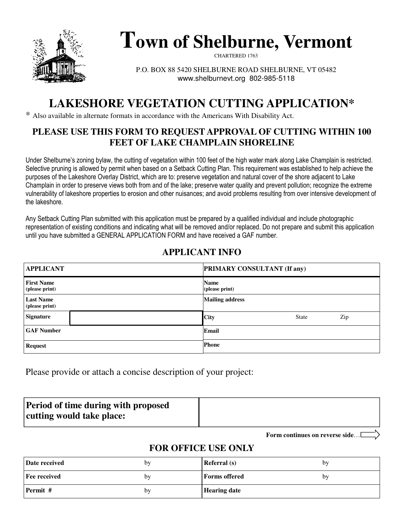

# **Town of Shelburne, Vermont**

CHARTERED 1763

P.O. BOX 88 5420 SHELBURNE ROAD SHELBURNE, VT 05482 www.shelburnevt.org 802-985-5118

## **LAKESHORE VEGETATION CUTTING APPLICATION\***

\* Also available in alternate formats in accordance with the Americans With Disability Act.

#### **PLEASE USE THIS FORM TO REQUEST APPROVAL OF CUTTING WITHIN 100 FEET OF LAKE CHAMPLAIN SHORELINE**

Under Shelburne's zoning bylaw, the cutting of vegetation within 100 feet of the high water mark along Lake Champlain is restricted. Selective pruning is allowed by permit when based on a Setback Cutting Plan. This requirement was established to help achieve the purposes of the Lakeshore Overlay District, which are to: preserve vegetation and natural cover of the shore adjacent to Lake Champlain in order to preserve views both from and of the lake; preserve water quality and prevent pollution; recognize the extreme vulnerability of lakeshore properties to erosion and other nuisances; and avoid problems resulting from over intensive development of the lakeshore.

Any Setback Cutting Plan submitted with this application must be prepared by a qualified individual and include photographic representation of existing conditions and indicating what will be removed and/or replaced. Do not prepare and submit this application until you have submitted a GENERAL APPLICATION FORM and have received a GAF number.

#### **APPLICANT INFO**

| <b>APPLICANT</b>                    | <b>PRIMARY CONSULTANT (If any)</b> |  |  |  |
|-------------------------------------|------------------------------------|--|--|--|
| <b>First Name</b><br>(please print) | <b>Name</b><br>(please print)      |  |  |  |
| <b>Last Name</b><br>(please print)  | <b>Mailing address</b>             |  |  |  |
| <b>Signature</b>                    | <b>City</b><br>Zip<br><b>State</b> |  |  |  |
| <b>GAF Number</b>                   | Email                              |  |  |  |
| <b>Request</b>                      | <b>Phone</b>                       |  |  |  |

Please provide or attach a concise description of your project:

| <b>Period of time during with proposed</b> |  |
|--------------------------------------------|--|
| cutting would take place:                  |  |

**Form continues on reverse side**…

#### **FOR OFFICE USE ONLY**

| Date received | bv | <b>Referral</b> (s)  | bv |
|---------------|----|----------------------|----|
| Fee received  | by | <b>Forms</b> offered | bv |
| Permit #      | by | <b>Hearing date</b>  |    |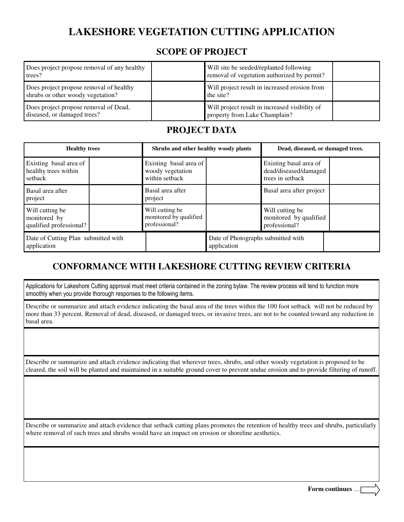## **LAKESHORE VEGETATION CUTTING APPLICATION**

#### **SCOPE OF PROJECT**

| Does project propose removal of any healthy<br>trees?                        | Will site be seeded/replanted following<br>removal of vegetation authorized by permit? |  |
|------------------------------------------------------------------------------|----------------------------------------------------------------------------------------|--|
| Does project propose removal of healthy<br>shrubs or other woody vegetation? | Will project result in increased erosion from<br>the site?                             |  |
| Does project propose removal of Dead,<br>diseased, or damaged trees?         | Will project result in increased visibility of<br>property from Lake Champlain?        |  |

#### **PROJECT DATA**

| <b>Healthy trees</b>                                       |                                                              | Shrubs and other healthy woody plants             |                                                                     | Dead, diseased, or damaged trees. |  |
|------------------------------------------------------------|--------------------------------------------------------------|---------------------------------------------------|---------------------------------------------------------------------|-----------------------------------|--|
| Existing basal area of<br>healthy trees within<br>setback  | Existing basal area of<br>woody vegetation<br>within setback |                                                   | Existing basal area of<br>dead/diseased/damaged<br>trees in setback |                                   |  |
| Basal area after<br>project                                | Basal area after<br>project                                  |                                                   | Basal area after project                                            |                                   |  |
| Will cutting be<br>monitored by<br>qualified professional? | Will cutting be<br>monitored by qualified<br>professional?   |                                                   | Will cutting be<br>monitored by qualified<br>professional?          |                                   |  |
| Date of Cutting Plan submitted with<br>application         |                                                              | Date of Photographs submitted with<br>application |                                                                     |                                   |  |

#### **CONFORMANCE WITH LAKESHORE CUTTING REVIEW CRITERIA**

Applications for Lakeshore Cutting approval must meet criteria contained in the zoning bylaw. The review process will tend to function more smoothly when you provide thorough responses to the following items.

Describe or summarize and attach evidence indicating the basal area of the trees within the 100 foot setback will not be reduced by more than 33 percent. Removal of dead, diseased, or damaged trees, or invasive trees, are not to be counted toward any reduction in basal area.

Describe or summarize and attach evidence indicating that wherever trees, shrubs, and other woody vegetation is proposed to be cleared, the soil will be planted and maintained in a suitable ground cover to prevent undue erosion and to provide filtering of runoff.

Describe or summarize and attach evidence that setback cutting plans promotes the retention of healthy trees and shrubs, particularly where removal of such trees and shrubs would have an impact on erosion or shoreline aesthetics.